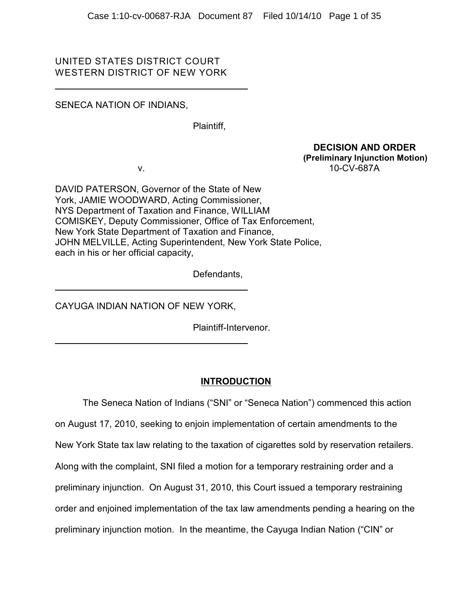# UNITED STATES DISTRICT COURT WESTERN DISTRICT OF NEW YORK

# SENECA NATION OF INDIANS,

Plaintiff,

 **DECISION AND ORDER (Preliminary Injunction Motion)**  v. 10-CV-687A

DAVID PATERSON, Governor of the State of New York, JAMIE WOODWARD, Acting Commissioner, NYS Department of Taxation and Finance, WILLIAM COMISKEY, Deputy Commissioner, Office of Tax Enforcement, New York State Department of Taxation and Finance, JOHN MELVILLE, Acting Superintendent, New York State Police, each in his or her official capacity,

Defendants,

CAYUGA INDIAN NATION OF NEW YORK,

Plaintiff-Intervenor.

# **INTRODUCTION**

The Seneca Nation of Indians ("SNI" or "Seneca Nation") commenced this action on August 17, 2010, seeking to enjoin implementation of certain amendments to the New York State tax law relating to the taxation of cigarettes sold by reservation retailers. Along with the complaint, SNI filed a motion for a temporary restraining order and a preliminary injunction. On August 31, 2010, this Court issued a temporary restraining order and enjoined implementation of the tax law amendments pending a hearing on the preliminary injunction motion. In the meantime, the Cayuga Indian Nation ("CIN" or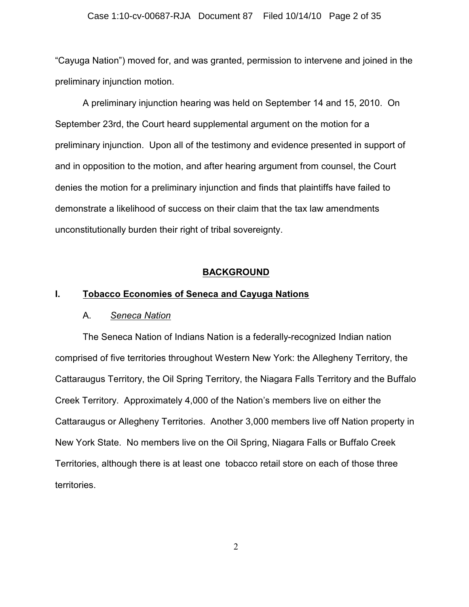## Case 1:10-cv-00687-RJA Document 87 Filed 10/14/10 Page 2 of 35

"Cayuga Nation") moved for, and was granted, permission to intervene and joined in the preliminary injunction motion.

A preliminary injunction hearing was held on September 14 and 15, 2010. On September 23rd, the Court heard supplemental argument on the motion for a preliminary injunction. Upon all of the testimony and evidence presented in support of and in opposition to the motion, and after hearing argument from counsel, the Court denies the motion for a preliminary injunction and finds that plaintiffs have failed to demonstrate a likelihood of success on their claim that the tax law amendments unconstitutionally burden their right of tribal sovereignty.

## **BACKGROUND**

## **I. Tobacco Economies of Seneca and Cayuga Nations**

## A. *Seneca Nation*

The Seneca Nation of Indians Nation is a federally-recognized Indian nation comprised of five territories throughout Western New York: the Allegheny Territory, the Cattaraugus Territory, the Oil Spring Territory, the Niagara Falls Territory and the Buffalo Creek Territory. Approximately 4,000 of the Nation's members live on either the Cattaraugus or Allegheny Territories. Another 3,000 members live off Nation property in New York State. No members live on the Oil Spring, Niagara Falls or Buffalo Creek Territories, although there is at least one tobacco retail store on each of those three territories.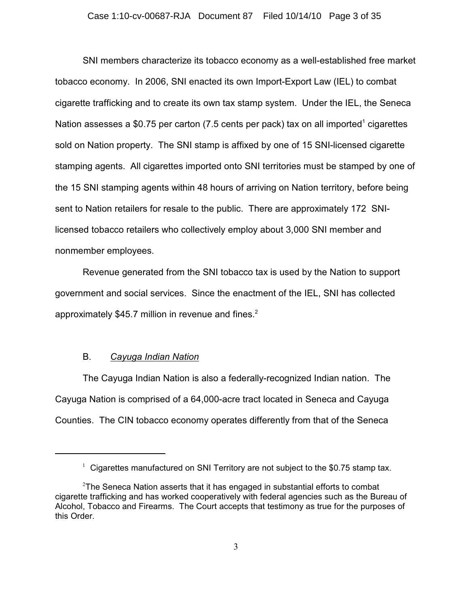## Case 1:10-cv-00687-RJA Document 87 Filed 10/14/10 Page 3 of 35

SNI members characterize its tobacco economy as a well-established free market tobacco economy. In 2006, SNI enacted its own Import-Export Law (IEL) to combat cigarette trafficking and to create its own tax stamp system. Under the IEL, the Seneca Nation assesses a \$0.75 per carton (7.5 cents per pack) tax on all imported<sup>1</sup> cigarettes sold on Nation property. The SNI stamp is affixed by one of 15 SNI-licensed cigarette stamping agents. All cigarettes imported onto SNI territories must be stamped by one of the 15 SNI stamping agents within 48 hours of arriving on Nation territory, before being sent to Nation retailers for resale to the public. There are approximately 172 SNIlicensed tobacco retailers who collectively employ about 3,000 SNI member and nonmember employees.

Revenue generated from the SNI tobacco tax is used by the Nation to support government and social services. Since the enactment of the IEL, SNI has collected approximately \$45.7 million in revenue and fines.<sup>2</sup>

## B. *Cayuga Indian Nation*

The Cayuga Indian Nation is also a federally-recognized Indian nation. The Cayuga Nation is comprised of a 64,000-acre tract located in Seneca and Cayuga Counties. The CIN tobacco economy operates differently from that of the Seneca

 $1$  Cigarettes manufactured on SNI Territory are not subject to the \$0.75 stamp tax.

 $2$ The Seneca Nation asserts that it has engaged in substantial efforts to combat cigarette trafficking and has worked cooperatively with federal agencies such as the Bureau of Alcohol, Tobacco and Firearms. The Court accepts that testimony as true for the purposes of this Order.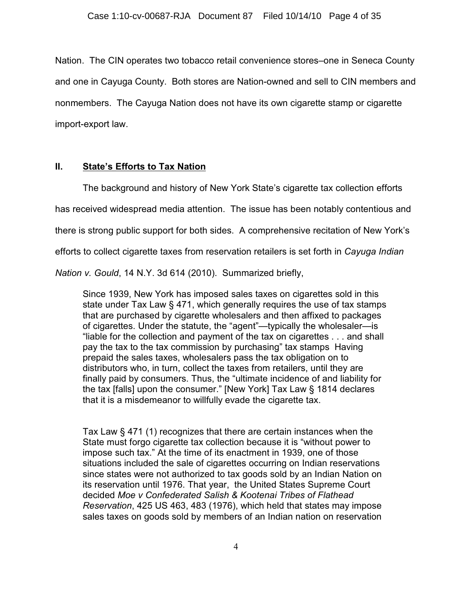Nation. The CIN operates two tobacco retail convenience stores–one in Seneca County and one in Cayuga County. Both stores are Nation-owned and sell to CIN members and nonmembers. The Cayuga Nation does not have its own cigarette stamp or cigarette import-export law.

# **II. State's Efforts to Tax Nation**

The background and history of New York State's cigarette tax collection efforts has received widespread media attention. The issue has been notably contentious and there is strong public support for both sides. A comprehensive recitation of New York's efforts to collect cigarette taxes from reservation retailers is set forth in *Cayuga Indian*

*Nation v. Gould*, 14 N.Y. 3d 614 (2010). Summarized briefly,

Since 1939, New York has imposed sales taxes on cigarettes sold in this state under Tax Law § 471, which generally requires the use of tax stamps that are purchased by cigarette wholesalers and then affixed to packages of cigarettes. Under the statute, the "agent"—typically the wholesaler—is "liable for the collection and payment of the tax on cigarettes . . . and shall pay the tax to the tax commission by purchasing" tax stamps Having prepaid the sales taxes, wholesalers pass the tax obligation on to distributors who, in turn, collect the taxes from retailers, until they are finally paid by consumers. Thus, the "ultimate incidence of and liability for the tax [falls] upon the consumer." [New York] Tax Law § 1814 declares that it is a misdemeanor to willfully evade the cigarette tax.

Tax Law § 471 (1) recognizes that there are certain instances when the State must forgo cigarette tax collection because it is "without power to impose such tax." At the time of its enactment in 1939, one of those situations included the sale of cigarettes occurring on Indian reservations since states were not authorized to tax goods sold by an Indian Nation on its reservation until 1976. That year, the United States Supreme Court decided *Moe v Confederated Salish & Kootenai Tribes of Flathead Reservation*, 425 US 463, 483 (1976), which held that states may impose sales taxes on goods sold by members of an Indian nation on reservation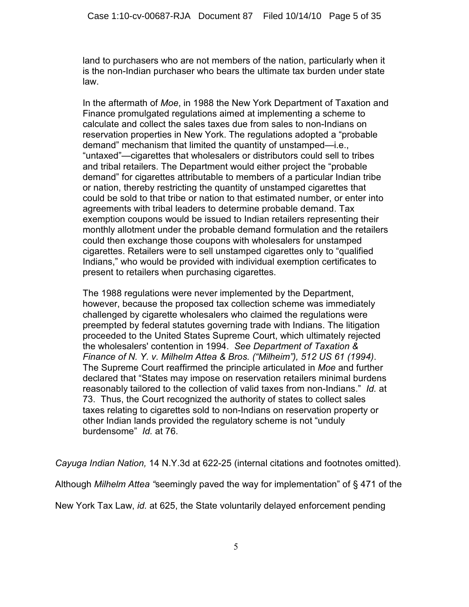land to purchasers who are not members of the nation, particularly when it is the non-Indian purchaser who bears the ultimate tax burden under state law.

In the aftermath of *Moe*, in 1988 the New York Department of Taxation and Finance promulgated regulations aimed at implementing a scheme to calculate and collect the sales taxes due from sales to non-Indians on reservation properties in New York. The regulations adopted a "probable demand" mechanism that limited the quantity of unstamped—i.e., "untaxed"—cigarettes that wholesalers or distributors could sell to tribes and tribal retailers. The Department would either project the "probable demand" for cigarettes attributable to members of a particular Indian tribe or nation, thereby restricting the quantity of unstamped cigarettes that could be sold to that tribe or nation to that estimated number, or enter into agreements with tribal leaders to determine probable demand. Tax exemption coupons would be issued to Indian retailers representing their monthly allotment under the probable demand formulation and the retailers could then exchange those coupons with wholesalers for unstamped cigarettes. Retailers were to sell unstamped cigarettes only to "qualified Indians," who would be provided with individual exemption certificates to present to retailers when purchasing cigarettes.

The 1988 regulations were never implemented by the Department, however, because the proposed tax collection scheme was immediately challenged by cigarette wholesalers who claimed the regulations were preempted by federal statutes governing trade with Indians. The litigation proceeded to the United States Supreme Court, which ultimately rejected the wholesalers' contention in 1994. *See Department of Taxation & Finance of N. Y. v. Milhelm Attea & Bros. ("Milheim"), 512 US 61 (1994)*. The Supreme Court reaffirmed the principle articulated in *Moe* and further declared that "States may impose on reservation retailers minimal burdens reasonably tailored to the collection of valid taxes from non-Indians." *Id.* at 73. Thus, the Court recognized the authority of states to collect sales taxes relating to cigarettes sold to non-Indians on reservation property or other Indian lands provided the regulatory scheme is not "unduly burdensome" *Id.* at 76.

*Cayuga Indian Nation,* 14 N.Y.3d at 622-25 (internal citations and footnotes omitted).

Although *Milhelm Attea "*seemingly paved the way for implementation" of § 471 of the

New York Tax Law, *id.* at 625, the State voluntarily delayed enforcement pending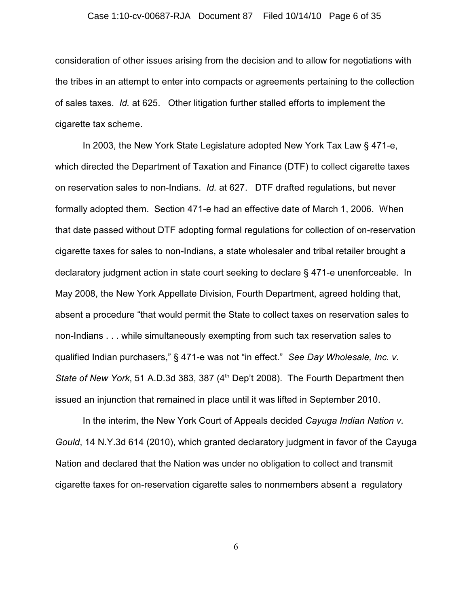## Case 1:10-cv-00687-RJA Document 87 Filed 10/14/10 Page 6 of 35

consideration of other issues arising from the decision and to allow for negotiations with the tribes in an attempt to enter into compacts or agreements pertaining to the collection of sales taxes. *Id.* at 625. Other litigation further stalled efforts to implement the cigarette tax scheme.

In 2003, the New York State Legislature adopted New York Tax Law § 471-e, which directed the Department of Taxation and Finance (DTF) to collect cigarette taxes on reservation sales to non-Indians. *Id.* at 627. DTF drafted regulations, but never formally adopted them. Section 471-e had an effective date of March 1, 2006. When that date passed without DTF adopting formal regulations for collection of on-reservation cigarette taxes for sales to non-Indians, a state wholesaler and tribal retailer brought a declaratory judgment action in state court seeking to declare § 471-e unenforceable. In May 2008, the New York Appellate Division, Fourth Department, agreed holding that, absent a procedure "that would permit the State to collect taxes on reservation sales to non-Indians . . . while simultaneously exempting from such tax reservation sales to qualified Indian purchasers," § 471-e was not "in effect." *See Day Wholesale, Inc. v. State of New York*, 51 A.D.3d 383, 387 (4<sup>th</sup> Dep't 2008). The Fourth Department then issued an injunction that remained in place until it was lifted in September 2010.

In the interim, the New York Court of Appeals decided *Cayuga Indian Nation v. Gould*, 14 N.Y.3d 614 (2010), which granted declaratory judgment in favor of the Cayuga Nation and declared that the Nation was under no obligation to collect and transmit cigarette taxes for on-reservation cigarette sales to nonmembers absent a regulatory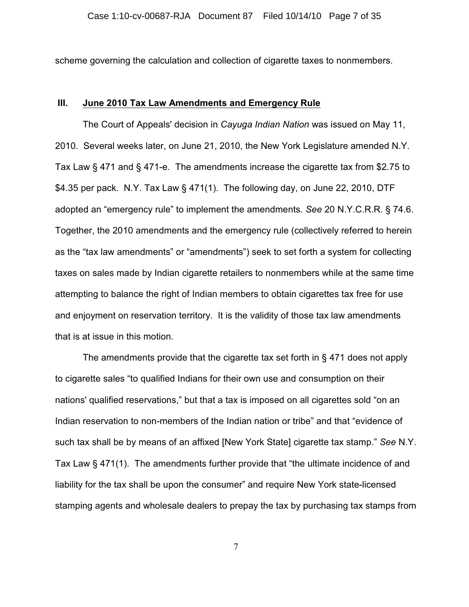scheme governing the calculation and collection of cigarette taxes to nonmembers.

# **III. June 2010 Tax Law Amendments and Emergency Rule**

The Court of Appeals' decision in *Cayuga Indian Nation* was issued on May 11, 2010. Several weeks later, on June 21, 2010, the New York Legislature amended N.Y. Tax Law § 471 and § 471-e. The amendments increase the cigarette tax from \$2.75 to \$4.35 per pack. N.Y. Tax Law § 471(1). The following day, on June 22, 2010, DTF adopted an "emergency rule" to implement the amendments. *See* 20 N.Y.C.R.R. § 74.6. Together, the 2010 amendments and the emergency rule (collectively referred to herein as the "tax law amendments" or "amendments") seek to set forth a system for collecting taxes on sales made by Indian cigarette retailers to nonmembers while at the same time attempting to balance the right of Indian members to obtain cigarettes tax free for use and enjoyment on reservation territory. It is the validity of those tax law amendments that is at issue in this motion.

The amendments provide that the cigarette tax set forth in § 471 does not apply to cigarette sales "to qualified Indians for their own use and consumption on their nations' qualified reservations," but that a tax is imposed on all cigarettes sold "on an Indian reservation to non-members of the Indian nation or tribe" and that "evidence of such tax shall be by means of an affixed [New York State] cigarette tax stamp." *See* N.Y. Tax Law § 471(1). The amendments further provide that "the ultimate incidence of and liability for the tax shall be upon the consumer" and require New York state-licensed stamping agents and wholesale dealers to prepay the tax by purchasing tax stamps from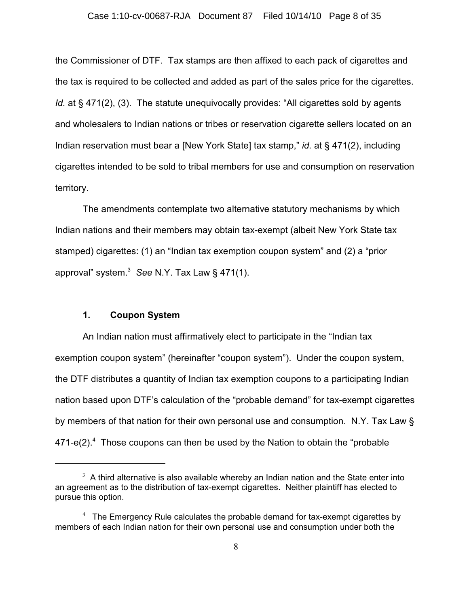the Commissioner of DTF. Tax stamps are then affixed to each pack of cigarettes and the tax is required to be collected and added as part of the sales price for the cigarettes. *Id.* at § 471(2), (3). The statute unequivocally provides: "All cigarettes sold by agents and wholesalers to Indian nations or tribes or reservation cigarette sellers located on an Indian reservation must bear a [New York State] tax stamp," *id.* at § 471(2), including cigarettes intended to be sold to tribal members for use and consumption on reservation territory.

The amendments contemplate two alternative statutory mechanisms by which Indian nations and their members may obtain tax-exempt (albeit New York State tax stamped) cigarettes: (1) an "Indian tax exemption coupon system" and (2) a "prior approval" system.<sup>3</sup> See N.Y. Tax Law § 471(1).

# **1. Coupon System**

An Indian nation must affirmatively elect to participate in the "Indian tax exemption coupon system" (hereinafter "coupon system"). Under the coupon system, the DTF distributes a quantity of Indian tax exemption coupons to a participating Indian nation based upon DTF's calculation of the "probable demand" for tax-exempt cigarettes by members of that nation for their own personal use and consumption. N.Y. Tax Law §  $471-e(2).$ <sup>4</sup> Those coupons can then be used by the Nation to obtain the "probable"

 $3$  A third alternative is also available whereby an Indian nation and the State enter into an agreement as to the distribution of tax-exempt cigarettes. Neither plaintiff has elected to pursue this option.

 $<sup>4</sup>$  The Emergency Rule calculates the probable demand for tax-exempt cigarettes by</sup> members of each Indian nation for their own personal use and consumption under both the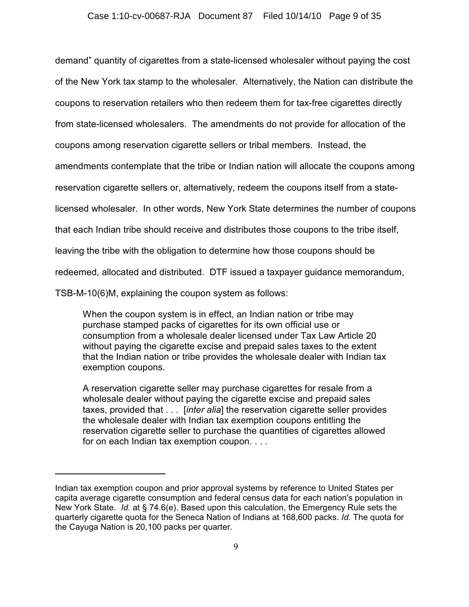demand" quantity of cigarettes from a state-licensed wholesaler without paying the cost of the New York tax stamp to the wholesaler. Alternatively, the Nation can distribute the coupons to reservation retailers who then redeem them for tax-free cigarettes directly from state-licensed wholesalers. The amendments do not provide for allocation of the coupons among reservation cigarette sellers or tribal members. Instead, the amendments contemplate that the tribe or Indian nation will allocate the coupons among reservation cigarette sellers or, alternatively, redeem the coupons itself from a statelicensed wholesaler. In other words, New York State determines the number of coupons that each Indian tribe should receive and distributes those coupons to the tribe itself, leaving the tribe with the obligation to determine how those coupons should be redeemed, allocated and distributed. DTF issued a taxpayer guidance memorandum, TSB-M-10(6)M, explaining the coupon system as follows:

When the coupon system is in effect, an Indian nation or tribe may purchase stamped packs of cigarettes for its own official use or consumption from a wholesale dealer licensed under Tax Law Article 20 without paying the cigarette excise and prepaid sales taxes to the extent that the Indian nation or tribe provides the wholesale dealer with Indian tax exemption coupons.

A reservation cigarette seller may purchase cigarettes for resale from a wholesale dealer without paying the cigarette excise and prepaid sales taxes, provided that . . . [*inter alia*] the reservation cigarette seller provides the wholesale dealer with Indian tax exemption coupons entitling the reservation cigarette seller to purchase the quantities of cigarettes allowed for on each Indian tax exemption coupon. . . .

Indian tax exemption coupon and prior approval systems by reference to United States per capita average cigarette consumption and federal census data for each nation's population in New York State. *Id.* at § 74.6(e). Based upon this calculation, the Emergency Rule sets the quarterly cigarette quota for the Seneca Nation of Indians at 168,600 packs. *Id.* The quota for the Cayuga Nation is 20,100 packs per quarter.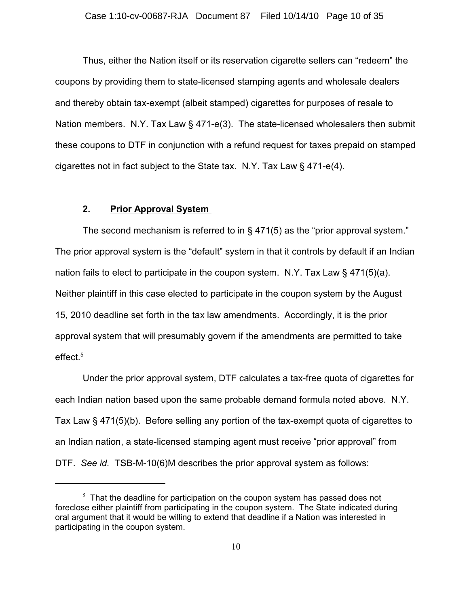Thus, either the Nation itself or its reservation cigarette sellers can "redeem" the coupons by providing them to state-licensed stamping agents and wholesale dealers and thereby obtain tax-exempt (albeit stamped) cigarettes for purposes of resale to Nation members. N.Y. Tax Law  $\S$  471-e(3). The state-licensed wholesalers then submit these coupons to DTF in conjunction with a refund request for taxes prepaid on stamped cigarettes not in fact subject to the State tax. N.Y. Tax Law § 471-e(4).

# **2. Prior Approval System**

The second mechanism is referred to in § 471(5) as the "prior approval system." The prior approval system is the "default" system in that it controls by default if an Indian nation fails to elect to participate in the coupon system. N.Y. Tax Law  $\S$  471(5)(a). Neither plaintiff in this case elected to participate in the coupon system by the August 15, 2010 deadline set forth in the tax law amendments. Accordingly, it is the prior approval system that will presumably govern if the amendments are permitted to take effect.<sup>5</sup>

Under the prior approval system, DTF calculates a tax-free quota of cigarettes for each Indian nation based upon the same probable demand formula noted above. N.Y. Tax Law § 471(5)(b). Before selling any portion of the tax-exempt quota of cigarettes to an Indian nation, a state-licensed stamping agent must receive "prior approval" from DTF. *See id.* TSB-M-10(6)M describes the prior approval system as follows:

 $5$  That the deadline for participation on the coupon system has passed does not foreclose either plaintiff from participating in the coupon system. The State indicated during oral argument that it would be willing to extend that deadline if a Nation was interested in participating in the coupon system.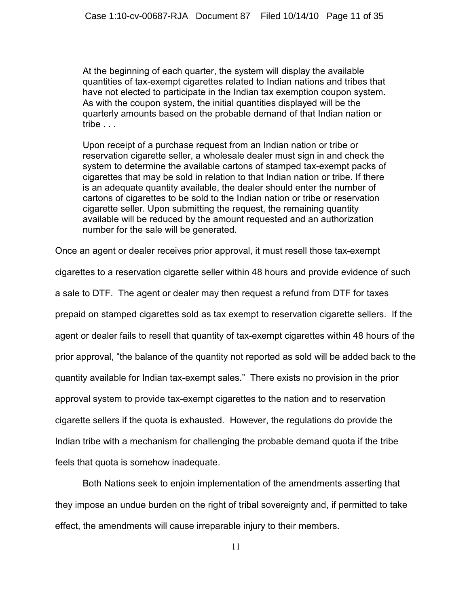At the beginning of each quarter, the system will display the available quantities of tax-exempt cigarettes related to Indian nations and tribes that have not elected to participate in the Indian tax exemption coupon system. As with the coupon system, the initial quantities displayed will be the quarterly amounts based on the probable demand of that Indian nation or tribe . . .

Upon receipt of a purchase request from an Indian nation or tribe or reservation cigarette seller, a wholesale dealer must sign in and check the system to determine the available cartons of stamped tax-exempt packs of cigarettes that may be sold in relation to that Indian nation or tribe. If there is an adequate quantity available, the dealer should enter the number of cartons of cigarettes to be sold to the Indian nation or tribe or reservation cigarette seller. Upon submitting the request, the remaining quantity available will be reduced by the amount requested and an authorization number for the sale will be generated.

Once an agent or dealer receives prior approval, it must resell those tax-exempt

cigarettes to a reservation cigarette seller within 48 hours and provide evidence of such a sale to DTF. The agent or dealer may then request a refund from DTF for taxes prepaid on stamped cigarettes sold as tax exempt to reservation cigarette sellers. If the agent or dealer fails to resell that quantity of tax-exempt cigarettes within 48 hours of the prior approval, "the balance of the quantity not reported as sold will be added back to the quantity available for Indian tax-exempt sales." There exists no provision in the prior approval system to provide tax-exempt cigarettes to the nation and to reservation cigarette sellers if the quota is exhausted. However, the regulations do provide the Indian tribe with a mechanism for challenging the probable demand quota if the tribe feels that quota is somehow inadequate.

Both Nations seek to enjoin implementation of the amendments asserting that they impose an undue burden on the right of tribal sovereignty and, if permitted to take effect, the amendments will cause irreparable injury to their members.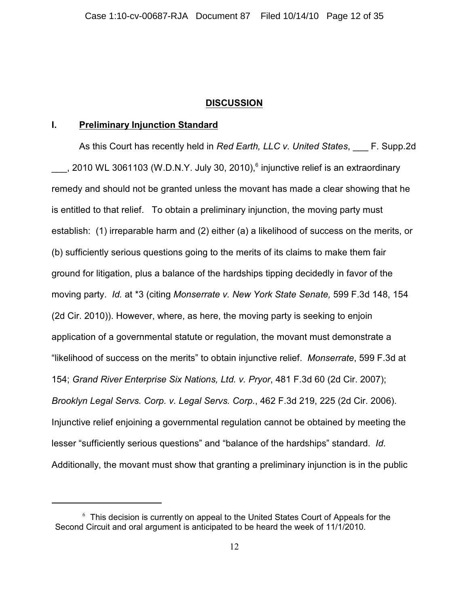# **DISCUSSION**

## **I. Preliminary Injunction Standard**

As this Court has recently held in *Red Earth, LLC v. United States*, \_\_\_ F. Supp.2d , 2010 WL 3061103 (W.D.N.Y. July 30, 2010), injunctive relief is an extraordinary remedy and should not be granted unless the movant has made a clear showing that he is entitled to that relief. To obtain a preliminary injunction, the moving party must establish: (1) irreparable harm and (2) either (a) a likelihood of success on the merits, or (b) sufficiently serious questions going to the merits of its claims to make them fair ground for litigation, plus a balance of the hardships tipping decidedly in favor of the moving party. *Id.* at \*3 (citing *Monserrate v. New York State Senate,* 599 F.3d 148, 154 (2d Cir. 2010)). However, where, as here, the moving party is seeking to enjoin application of a governmental statute or regulation, the movant must demonstrate a "likelihood of success on the merits" to obtain injunctive relief. *Monserrate*, 599 F.3d at 154; *Grand River Enterprise Six Nations, Ltd. v. Pryor*, 481 F.3d 60 (2d Cir. 2007); *Brooklyn Legal Servs. Corp. v. Legal Servs. Corp.*, 462 F.3d 219, 225 (2d Cir. 2006). Injunctive relief enjoining a governmental regulation cannot be obtained by meeting the lesser "sufficiently serious questions" and "balance of the hardships" standard. *Id*. Additionally, the movant must show that granting a preliminary injunction is in the public

 $6$  This decision is currently on appeal to the United States Court of Appeals for the Second Circuit and oral argument is anticipated to be heard the week of 11/1/2010.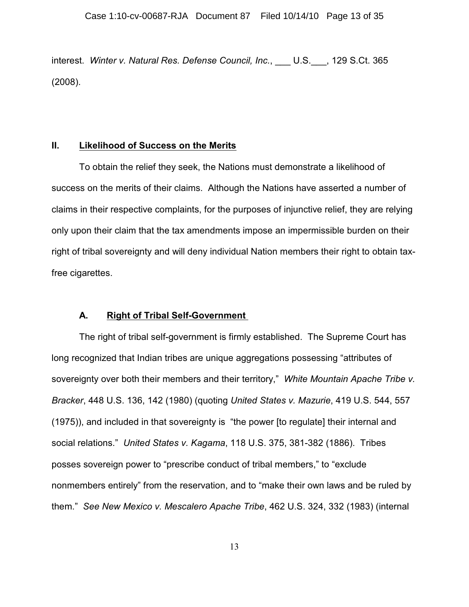interest. *Winter v. Natural Res. Defense Council, Inc.*, \_\_\_ U.S.\_\_\_, 129 S.Ct. 365 (2008).

# **II. Likelihood of Success on the Merits**

To obtain the relief they seek, the Nations must demonstrate a likelihood of success on the merits of their claims. Although the Nations have asserted a number of claims in their respective complaints, for the purposes of injunctive relief, they are relying only upon their claim that the tax amendments impose an impermissible burden on their right of tribal sovereignty and will deny individual Nation members their right to obtain taxfree cigarettes.

# **A. Right of Tribal Self-Government**

The right of tribal self-government is firmly established. The Supreme Court has long recognized that Indian tribes are unique aggregations possessing "attributes of sovereignty over both their members and their territory," *White Mountain Apache Tribe v. Bracker*, 448 U.S. 136, 142 (1980) (quoting *United States v. Mazurie*, 419 U.S. 544, 557 (1975)), and included in that sovereignty is "the power [to regulate] their internal and social relations." *United States v. Kagama*, 118 U.S. 375, 381-382 (1886). Tribes posses sovereign power to "prescribe conduct of tribal members," to "exclude nonmembers entirely" from the reservation, and to "make their own laws and be ruled by them." *See New Mexico v. Mescalero Apache Tribe*, 462 U.S. 324, 332 (1983) (internal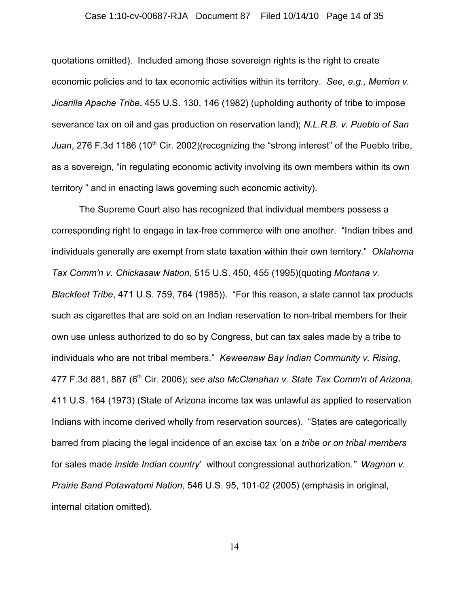# Case 1:10-cv-00687-RJA Document 87 Filed 10/14/10 Page 14 of 35

quotations omitted). Included among those sovereign rights is the right to create economic policies and to tax economic activities within its territory. *See, e.g., Merrion v. Jicarilla Apache Tribe*, 455 U.S. 130, 146 (1982) (upholding authority of tribe to impose severance tax on oil and gas production on reservation land); *N.L.R.B. v. Pueblo of San Juan*, 276 F.3d 1186 (10<sup>th</sup> Cir. 2002)(recognizing the "strong interest" of the Pueblo tribe, as a sovereign, "in regulating economic activity involving its own members within its own territory " and in enacting laws governing such economic activity).

The Supreme Court also has recognized that individual members possess a corresponding right to engage in tax-free commerce with one another. "Indian tribes and individuals generally are exempt from state taxation within their own territory." *Oklahoma Tax Comm'n v. Chickasaw Nation*, 515 U.S. 450, 455 (1995)(quoting *Montana v. Blackfeet Tribe*, 471 U.S. 759, 764 (1985)). "For this reason, a state cannot tax products such as cigarettes that are sold on an Indian reservation to non-tribal members for their own use unless authorized to do so by Congress, but can tax sales made by a tribe to individuals who are not tribal members." *Keweenaw Bay Indian Community v. Rising*, 477 F.3d 881, 887 (6<sup>th</sup> Cir. 2006); see also McClanahan v. State Tax Comm'n of Arizona, 411 U.S. 164 (1973) (State of Arizona income tax was unlawful as applied to reservation Indians with income derived wholly from reservation sources). "States are categorically barred from placing the legal incidence of an excise tax 'on *a tribe or on tribal members* for sales made *inside Indian country*' without congressional authorization.*" Wagnon v. Prairie Band Potawatomi Nation,* 546 U.S. 95, 101-02 (2005) (emphasis in original, internal citation omitted).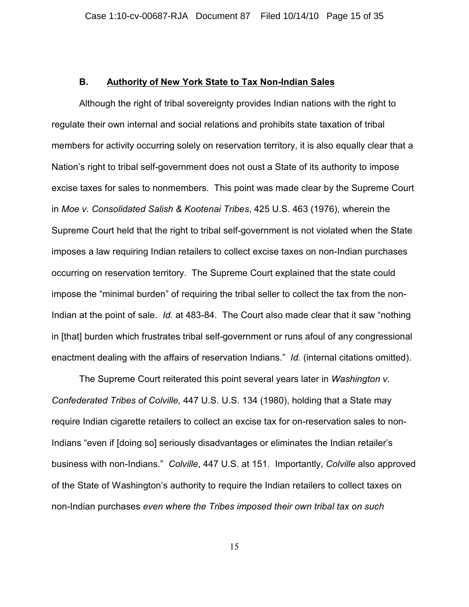## **B. Authority of New York State to Tax Non-Indian Sales**

Although the right of tribal sovereignty provides Indian nations with the right to regulate their own internal and social relations and prohibits state taxation of tribal members for activity occurring solely on reservation territory, it is also equally clear that a Nation's right to tribal self-government does not oust a State of its authority to impose excise taxes for sales to nonmembers. This point was made clear by the Supreme Court in *Moe v. Consolidated Salish & Kootenai Tribes*, 425 U.S. 463 (1976), wherein the Supreme Court held that the right to tribal self-government is not violated when the State imposes a law requiring Indian retailers to collect excise taxes on non-Indian purchases occurring on reservation territory. The Supreme Court explained that the state could impose the "minimal burden" of requiring the tribal seller to collect the tax from the non-Indian at the point of sale. *Id.* at 483-84. The Court also made clear that it saw "nothing in [that] burden which frustrates tribal self-government or runs afoul of any congressional enactment dealing with the affairs of reservation Indians." *Id.* (internal citations omitted).

The Supreme Court reiterated this point several years later in *Washington v. Confederated Tribes of Colville,* 447 U.S. U.S. 134 (1980), holding that a State may require Indian cigarette retailers to collect an excise tax for on-reservation sales to non-Indians "even if [doing so] seriously disadvantages or eliminates the Indian retailer's business with non-Indians." *Colville*, 447 U.S. at 151. Importantly, *Colville* also approved of the State of Washington's authority to require the Indian retailers to collect taxes on non-Indian purchases *even where the Tribes imposed their own tribal tax on such*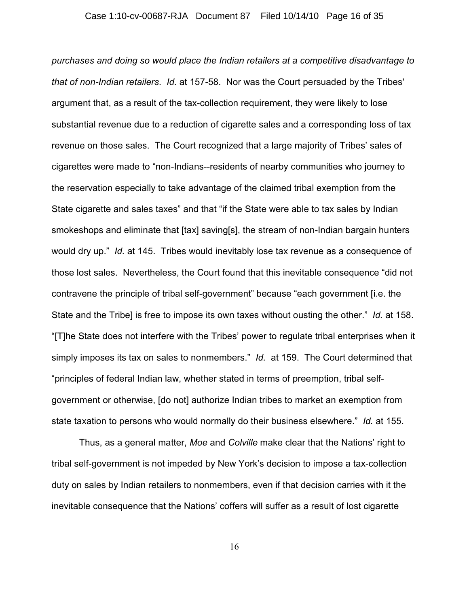*purchases and doing so would place the Indian retailers at a competitive disadvantage to that of non-Indian retailers*. *Id.* at 157-58. Nor was the Court persuaded by the Tribes' argument that, as a result of the tax-collection requirement, they were likely to lose substantial revenue due to a reduction of cigarette sales and a corresponding loss of tax revenue on those sales. The Court recognized that a large majority of Tribes' sales of cigarettes were made to "non-Indians--residents of nearby communities who journey to the reservation especially to take advantage of the claimed tribal exemption from the State cigarette and sales taxes" and that "if the State were able to tax sales by Indian smokeshops and eliminate that [tax] saving[s], the stream of non-Indian bargain hunters would dry up." *Id.* at 145. Tribes would inevitably lose tax revenue as a consequence of those lost sales. Nevertheless, the Court found that this inevitable consequence "did not contravene the principle of tribal self-government" because "each government [i.e. the State and the Tribe] is free to impose its own taxes without ousting the other." *Id.* at 158. "[T]he State does not interfere with the Tribes' power to regulate tribal enterprises when it simply imposes its tax on sales to nonmembers." *Id.* at 159. The Court determined that "principles of federal Indian law, whether stated in terms of preemption, tribal selfgovernment or otherwise, [do not] authorize Indian tribes to market an exemption from state taxation to persons who would normally do their business elsewhere." *Id.* at 155.

Thus, as a general matter, *Moe* and *Colville* make clear that the Nations' right to tribal self-government is not impeded by New York's decision to impose a tax-collection duty on sales by Indian retailers to nonmembers, even if that decision carries with it the inevitable consequence that the Nations' coffers will suffer as a result of lost cigarette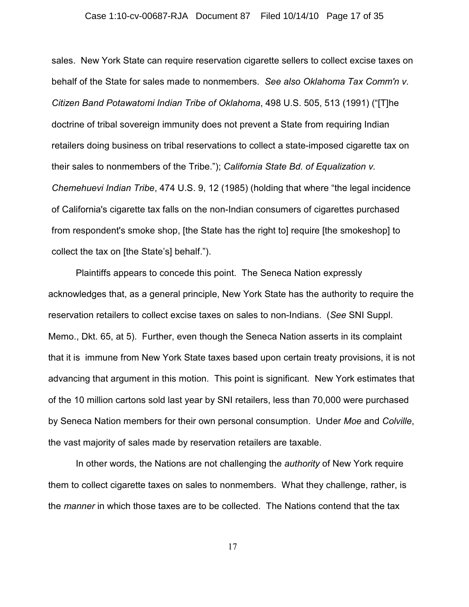## Case 1:10-cv-00687-RJA Document 87 Filed 10/14/10 Page 17 of 35

sales. New York State can require reservation cigarette sellers to collect excise taxes on behalf of the State for sales made to nonmembers. *See also Oklahoma Tax Comm'n v. Citizen Band Potawatomi Indian Tribe of Oklahoma*, 498 U.S. 505, 513 (1991) ("[T]he doctrine of tribal sovereign immunity does not prevent a State from requiring Indian retailers doing business on tribal reservations to collect a state-imposed cigarette tax on their sales to nonmembers of the Tribe."); *California State Bd. of Equalization v. Chemehuevi Indian Tribe*, 474 U.S. 9, 12 (1985) (holding that where "the legal incidence of California's cigarette tax falls on the non-Indian consumers of cigarettes purchased from respondent's smoke shop, [the State has the right to] require [the smokeshop] to collect the tax on [the State's] behalf.").

Plaintiffs appears to concede this point. The Seneca Nation expressly acknowledges that, as a general principle, New York State has the authority to require the reservation retailers to collect excise taxes on sales to non-Indians. (*See* SNI Suppl. Memo., Dkt. 65, at 5). Further, even though the Seneca Nation asserts in its complaint that it is immune from New York State taxes based upon certain treaty provisions, it is not advancing that argument in this motion. This point is significant. New York estimates that of the 10 million cartons sold last year by SNI retailers, less than 70,000 were purchased by Seneca Nation members for their own personal consumption. Under *Moe* and *Colville*, the vast majority of sales made by reservation retailers are taxable.

 In other words, the Nations are not challenging the *authority* of New York require them to collect cigarette taxes on sales to nonmembers. What they challenge, rather, is the *manner* in which those taxes are to be collected. The Nations contend that the tax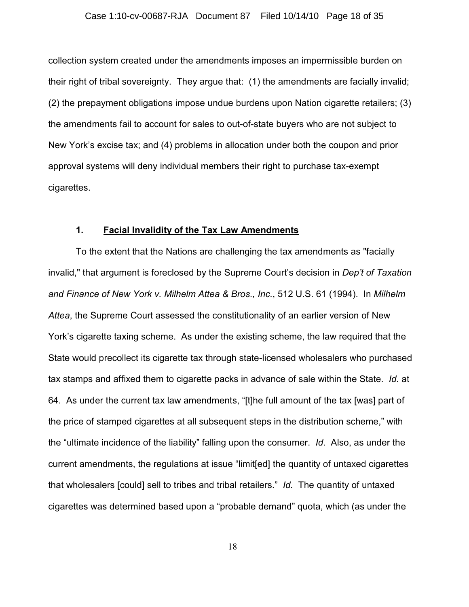#### Case 1:10-cv-00687-RJA Document 87 Filed 10/14/10 Page 18 of 35

collection system created under the amendments imposes an impermissible burden on their right of tribal sovereignty. They argue that: (1) the amendments are facially invalid; (2) the prepayment obligations impose undue burdens upon Nation cigarette retailers; (3) the amendments fail to account for sales to out-of-state buyers who are not subject to New York's excise tax; and (4) problems in allocation under both the coupon and prior approval systems will deny individual members their right to purchase tax-exempt cigarettes.

## **1. Facial Invalidity of the Tax Law Amendments**

To the extent that the Nations are challenging the tax amendments as "facially invalid," that argument is foreclosed by the Supreme Court's decision in *Dep't of Taxation and Finance of New York v. Milhelm Attea & Bros., Inc.*, 512 U.S. 61 (1994). In *Milhelm Attea*, the Supreme Court assessed the constitutionality of an earlier version of New York's cigarette taxing scheme. As under the existing scheme, the law required that the State would precollect its cigarette tax through state-licensed wholesalers who purchased tax stamps and affixed them to cigarette packs in advance of sale within the State. *Id.* at 64. As under the current tax law amendments, "[t]he full amount of the tax [was] part of the price of stamped cigarettes at all subsequent steps in the distribution scheme," with the "ultimate incidence of the liability" falling upon the consumer. *Id*. Also, as under the current amendments, the regulations at issue "limit[ed] the quantity of untaxed cigarettes that wholesalers [could] sell to tribes and tribal retailers." *Id.* The quantity of untaxed cigarettes was determined based upon a "probable demand" quota, which (as under the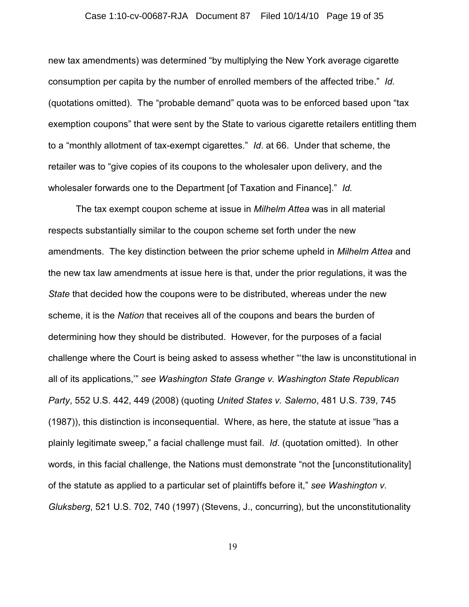## Case 1:10-cv-00687-RJA Document 87 Filed 10/14/10 Page 19 of 35

new tax amendments) was determined "by multiplying the New York average cigarette consumption per capita by the number of enrolled members of the affected tribe." *Id.* (quotations omitted). The "probable demand" quota was to be enforced based upon "tax exemption coupons" that were sent by the State to various cigarette retailers entitling them to a "monthly allotment of tax-exempt cigarettes." *Id*. at 66. Under that scheme, the retailer was to "give copies of its coupons to the wholesaler upon delivery, and the wholesaler forwards one to the Department [of Taxation and Finance]." *Id.*

The tax exempt coupon scheme at issue in *Milhelm Attea* was in all material respects substantially similar to the coupon scheme set forth under the new amendments. The key distinction between the prior scheme upheld in *Milhelm Attea* and the new tax law amendments at issue here is that, under the prior regulations, it was the *State* that decided how the coupons were to be distributed, whereas under the new scheme, it is the *Nation* that receives all of the coupons and bears the burden of determining how they should be distributed. However, for the purposes of a facial challenge where the Court is being asked to assess whether "'the law is unconstitutional in all of its applications,'" *see Washington State Grange v. Washington State Republican Party*, 552 U.S. 442, 449 (2008) (quoting *United States v. Salerno*, 481 U.S. 739, 745 (1987)), this distinction is inconsequential. Where, as here, the statute at issue "has a plainly legitimate sweep," a facial challenge must fail. *Id*. (quotation omitted). In other words, in this facial challenge, the Nations must demonstrate "not the [unconstitutionality] of the statute as applied to a particular set of plaintiffs before it," *see Washington v. Gluksberg*, 521 U.S. 702, 740 (1997) (Stevens, J., concurring), but the unconstitutionality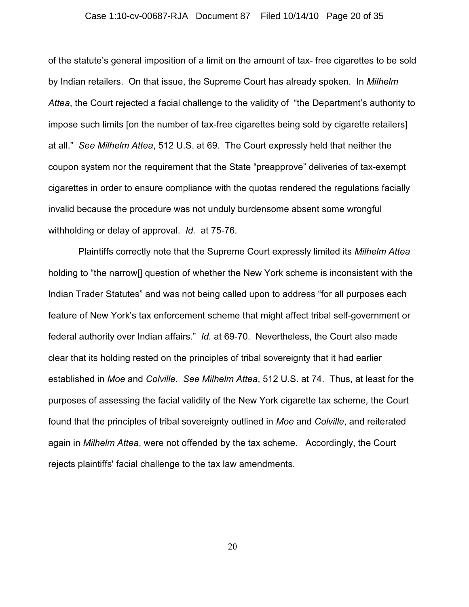#### Case 1:10-cv-00687-RJA Document 87 Filed 10/14/10 Page 20 of 35

of the statute's general imposition of a limit on the amount of tax- free cigarettes to be sold by Indian retailers. On that issue, the Supreme Court has already spoken. In *Milhelm Attea*, the Court rejected a facial challenge to the validity of "the Department's authority to impose such limits [on the number of tax-free cigarettes being sold by cigarette retailers] at all." *See Milhelm Attea*, 512 U.S. at 69. The Court expressly held that neither the coupon system nor the requirement that the State "preapprove" deliveries of tax-exempt cigarettes in order to ensure compliance with the quotas rendered the regulations facially invalid because the procedure was not unduly burdensome absent some wrongful withholding or delay of approval. *Id.* at 75-76.

 Plaintiffs correctly note that the Supreme Court expressly limited its *Milhelm Attea* holding to "the narrow[] question of whether the New York scheme is inconsistent with the Indian Trader Statutes" and was not being called upon to address "for all purposes each feature of New York's tax enforcement scheme that might affect tribal self-government or federal authority over Indian affairs." *Id.* at 69-70. Nevertheless, the Court also made clear that its holding rested on the principles of tribal sovereignty that it had earlier established in *Moe* and *Colville*. *See Milhelm Attea*, 512 U.S. at 74. Thus, at least for the purposes of assessing the facial validity of the New York cigarette tax scheme, the Court found that the principles of tribal sovereignty outlined in *Moe* and *Colville*, and reiterated again in *Milhelm Attea*, were not offended by the tax scheme. Accordingly, the Court rejects plaintiffs' facial challenge to the tax law amendments.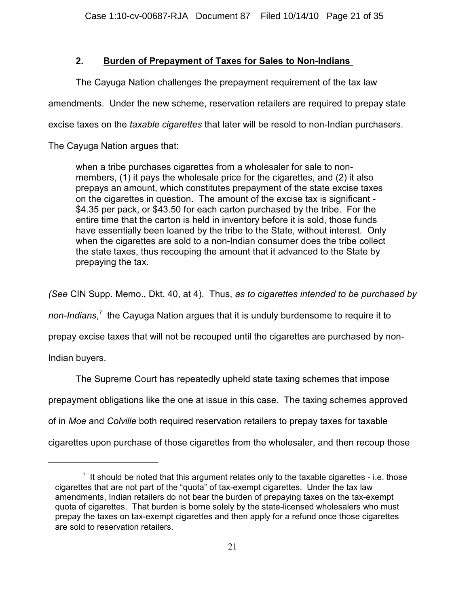# **2. Burden of Prepayment of Taxes for Sales to Non-Indians**

The Cayuga Nation challenges the prepayment requirement of the tax law

amendments. Under the new scheme, reservation retailers are required to prepay state

excise taxes on the *taxable cigarettes* that later will be resold to non-Indian purchasers.

The Cayuga Nation argues that:

when a tribe purchases cigarettes from a wholesaler for sale to nonmembers, (1) it pays the wholesale price for the cigarettes, and (2) it also prepays an amount, which constitutes prepayment of the state excise taxes on the cigarettes in question. The amount of the excise tax is significant - \$4.35 per pack, or \$43.50 for each carton purchased by the tribe. For the entire time that the carton is held in inventory before it is sold, those funds have essentially been loaned by the tribe to the State, without interest. Only when the cigarettes are sold to a non-Indian consumer does the tribe collect the state taxes, thus recouping the amount that it advanced to the State by prepaying the tax.

*(See* CIN Supp. Memo., Dkt. 40, at 4). Thus, *as to cigarettes intended to be purchased by*

*non-Indians*<sup>7</sup> the Cayuga Nation argues that it is unduly burdensome to require it to

prepay excise taxes that will not be recouped until the cigarettes are purchased by non-

Indian buyers.

The Supreme Court has repeatedly upheld state taxing schemes that impose prepayment obligations like the one at issue in this case. The taxing schemes approved of in *Moe* and *Colville* both required reservation retailers to prepay taxes for taxable cigarettes upon purchase of those cigarettes from the wholesaler, and then recoup those

 $\textsuperscript{7}$  It should be noted that this argument relates only to the taxable cigarettes - i.e. those cigarettes that are not part of the "quota" of tax-exempt cigarettes. Under the tax law amendments, Indian retailers do not bear the burden of prepaying taxes on the tax-exempt quota of cigarettes. That burden is borne solely by the state-licensed wholesalers who must prepay the taxes on tax-exempt cigarettes and then apply for a refund once those cigarettes are sold to reservation retailers.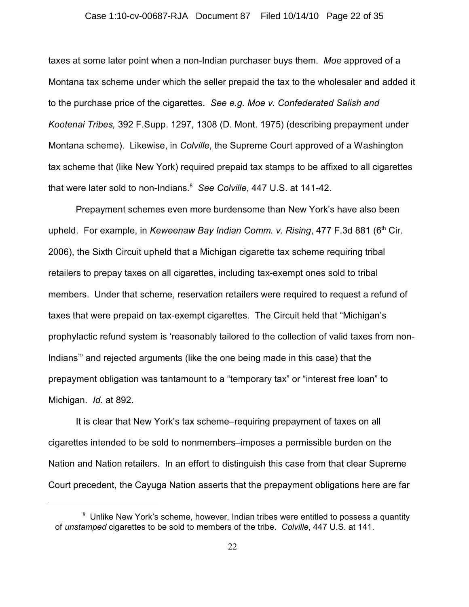## Case 1:10-cv-00687-RJA Document 87 Filed 10/14/10 Page 22 of 35

taxes at some later point when a non-Indian purchaser buys them. *Moe* approved of a Montana tax scheme under which the seller prepaid the tax to the wholesaler and added it to the purchase price of the cigarettes. *See e.g. Moe v. Confederated Salish and Kootenai Tribes,* 392 F.Supp. 1297, 1308 (D. Mont. 1975) (describing prepayment under Montana scheme). Likewise, in *Colville*, the Supreme Court approved of a Washington tax scheme that (like New York) required prepaid tax stamps to be affixed to all cigarettes that were later sold to non-Indians.<sup>8</sup> See Colville, 447 U.S. at 141-42.

Prepayment schemes even more burdensome than New York's have also been upheld. For example, in *Keweenaw Bay Indian Comm. v. Rising*, 477 F.3d 881 (6<sup>th</sup> Cir. 2006), the Sixth Circuit upheld that a Michigan cigarette tax scheme requiring tribal retailers to prepay taxes on all cigarettes, including tax-exempt ones sold to tribal members. Under that scheme, reservation retailers were required to request a refund of taxes that were prepaid on tax-exempt cigarettes. The Circuit held that "Michigan's prophylactic refund system is 'reasonably tailored to the collection of valid taxes from non-Indians'" and rejected arguments (like the one being made in this case) that the prepayment obligation was tantamount to a "temporary tax" or "interest free loan" to Michigan. *Id.* at 892.

It is clear that New York's tax scheme–requiring prepayment of taxes on all cigarettes intended to be sold to nonmembers–imposes a permissible burden on the Nation and Nation retailers. In an effort to distinguish this case from that clear Supreme Court precedent, the Cayuga Nation asserts that the prepayment obligations here are far

 $8$  Unlike New York's scheme, however, Indian tribes were entitled to possess a quantity of *unstamped* cigarettes to be sold to members of the tribe. *Colville*, 447 U.S. at 141.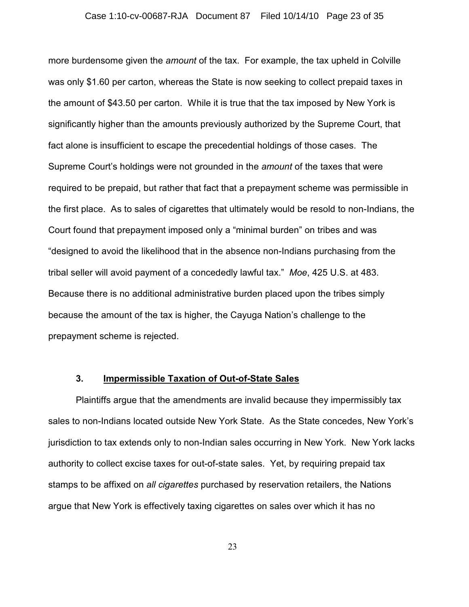#### Case 1:10-cv-00687-RJA Document 87 Filed 10/14/10 Page 23 of 35

more burdensome given the *amount* of the tax. For example, the tax upheld in Colville was only \$1.60 per carton, whereas the State is now seeking to collect prepaid taxes in the amount of \$43.50 per carton. While it is true that the tax imposed by New York is significantly higher than the amounts previously authorized by the Supreme Court, that fact alone is insufficient to escape the precedential holdings of those cases. The Supreme Court's holdings were not grounded in the *amount* of the taxes that were required to be prepaid, but rather that fact that a prepayment scheme was permissible in the first place. As to sales of cigarettes that ultimately would be resold to non-Indians, the Court found that prepayment imposed only a "minimal burden" on tribes and was "designed to avoid the likelihood that in the absence non-Indians purchasing from the tribal seller will avoid payment of a concededly lawful tax." *Moe*, 425 U.S. at 483. Because there is no additional administrative burden placed upon the tribes simply because the amount of the tax is higher, the Cayuga Nation's challenge to the prepayment scheme is rejected.

# **3. Impermissible Taxation of Out-of-State Sales**

Plaintiffs argue that the amendments are invalid because they impermissibly tax sales to non-Indians located outside New York State. As the State concedes, New York's jurisdiction to tax extends only to non-Indian sales occurring in New York. New York lacks authority to collect excise taxes for out-of-state sales. Yet, by requiring prepaid tax stamps to be affixed on *all cigarettes* purchased by reservation retailers, the Nations argue that New York is effectively taxing cigarettes on sales over which it has no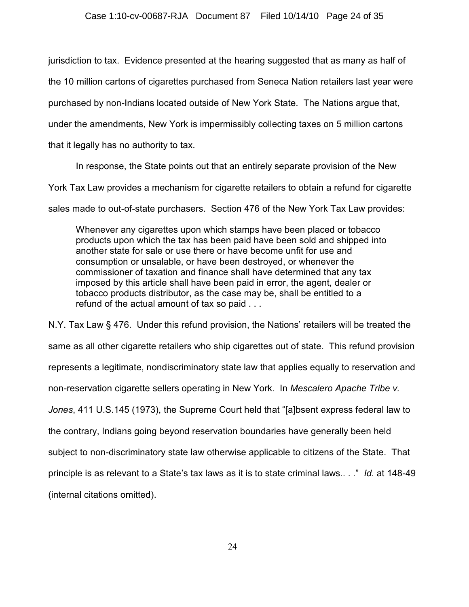jurisdiction to tax. Evidence presented at the hearing suggested that as many as half of

the 10 million cartons of cigarettes purchased from Seneca Nation retailers last year were

purchased by non-Indians located outside of New York State. The Nations argue that,

under the amendments, New York is impermissibly collecting taxes on 5 million cartons

that it legally has no authority to tax.

In response, the State points out that an entirely separate provision of the New

York Tax Law provides a mechanism for cigarette retailers to obtain a refund for cigarette

sales made to out-of-state purchasers. Section 476 of the New York Tax Law provides:

Whenever any cigarettes upon which stamps have been placed or tobacco products upon which the tax has been paid have been sold and shipped into another state for sale or use there or have become unfit for use and consumption or unsalable, or have been destroyed, or whenever the commissioner of taxation and finance shall have determined that any tax imposed by this article shall have been paid in error, the agent, dealer or tobacco products distributor, as the case may be, shall be entitled to a refund of the actual amount of tax so paid . . .

N.Y. Tax Law § 476. Under this refund provision, the Nations' retailers will be treated the same as all other cigarette retailers who ship cigarettes out of state. This refund provision represents a legitimate, nondiscriminatory state law that applies equally to reservation and non-reservation cigarette sellers operating in New York. In *Mescalero Apache Tribe v. Jones*, 411 U.S.145 (1973), the Supreme Court held that "[a]bsent express federal law to the contrary, Indians going beyond reservation boundaries have generally been held subject to non-discriminatory state law otherwise applicable to citizens of the State. That principle is as relevant to a State's tax laws as it is to state criminal laws.. . ." *Id.* at 148-49 (internal citations omitted).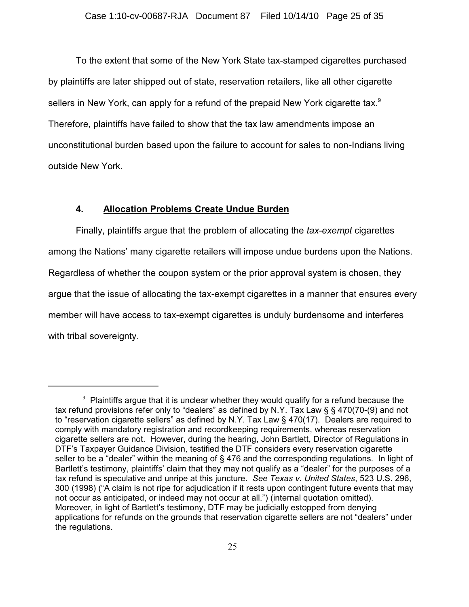To the extent that some of the New York State tax-stamped cigarettes purchased by plaintiffs are later shipped out of state, reservation retailers, like all other cigarette sellers in New York, can apply for a refund of the prepaid New York cigarette tax. $^9$ Therefore, plaintiffs have failed to show that the tax law amendments impose an unconstitutional burden based upon the failure to account for sales to non-Indians living outside New York.

# **4. Allocation Problems Create Undue Burden**

Finally, plaintiffs argue that the problem of allocating the *tax-exempt* cigarettes among the Nations' many cigarette retailers will impose undue burdens upon the Nations. Regardless of whether the coupon system or the prior approval system is chosen, they argue that the issue of allocating the tax-exempt cigarettes in a manner that ensures every member will have access to tax-exempt cigarettes is unduly burdensome and interferes with tribal sovereignty.

 $9$  Plaintiffs argue that it is unclear whether they would qualify for a refund because the tax refund provisions refer only to "dealers" as defined by N.Y. Tax Law § § 470(70-(9) and not to "reservation cigarette sellers" as defined by N.Y. Tax Law § 470(17). Dealers are required to comply with mandatory registration and recordkeeping requirements, whereas reservation cigarette sellers are not. However, during the hearing, John Bartlett, Director of Regulations in DTF's Taxpayer Guidance Division, testified the DTF considers every reservation cigarette seller to be a "dealer" within the meaning of § 476 and the corresponding regulations. In light of Bartlett's testimony, plaintiffs' claim that they may not qualify as a "dealer" for the purposes of a tax refund is speculative and unripe at this juncture. *See Texas v. United States*, 523 U.S. 296, 300 (1998) ("A claim is not ripe for adjudication if it rests upon contingent future events that may not occur as anticipated, or indeed may not occur at all.") (internal quotation omitted). Moreover, in light of Bartlett's testimony, DTF may be judicially estopped from denying applications for refunds on the grounds that reservation cigarette sellers are not "dealers" under the regulations.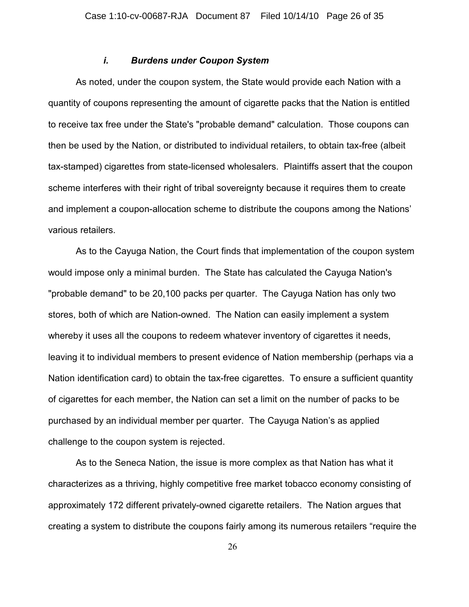## *i. Burdens under Coupon System*

As noted, under the coupon system, the State would provide each Nation with a quantity of coupons representing the amount of cigarette packs that the Nation is entitled to receive tax free under the State's "probable demand" calculation. Those coupons can then be used by the Nation, or distributed to individual retailers, to obtain tax-free (albeit tax-stamped) cigarettes from state-licensed wholesalers. Plaintiffs assert that the coupon scheme interferes with their right of tribal sovereignty because it requires them to create and implement a coupon-allocation scheme to distribute the coupons among the Nations' various retailers.

As to the Cayuga Nation, the Court finds that implementation of the coupon system would impose only a minimal burden. The State has calculated the Cayuga Nation's "probable demand" to be 20,100 packs per quarter. The Cayuga Nation has only two stores, both of which are Nation-owned. The Nation can easily implement a system whereby it uses all the coupons to redeem whatever inventory of cigarettes it needs, leaving it to individual members to present evidence of Nation membership (perhaps via a Nation identification card) to obtain the tax-free cigarettes. To ensure a sufficient quantity of cigarettes for each member, the Nation can set a limit on the number of packs to be purchased by an individual member per quarter. The Cayuga Nation's as applied challenge to the coupon system is rejected.

As to the Seneca Nation, the issue is more complex as that Nation has what it characterizes as a thriving, highly competitive free market tobacco economy consisting of approximately 172 different privately-owned cigarette retailers. The Nation argues that creating a system to distribute the coupons fairly among its numerous retailers "require the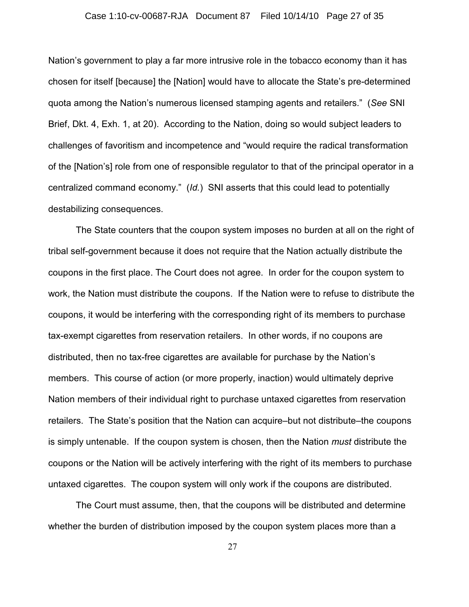### Case 1:10-cv-00687-RJA Document 87 Filed 10/14/10 Page 27 of 35

Nation's government to play a far more intrusive role in the tobacco economy than it has chosen for itself [because] the [Nation] would have to allocate the State's pre-determined quota among the Nation's numerous licensed stamping agents and retailers." (*See* SNI Brief, Dkt. 4, Exh. 1, at 20). According to the Nation, doing so would subject leaders to challenges of favoritism and incompetence and "would require the radical transformation of the [Nation's] role from one of responsible regulator to that of the principal operator in a centralized command economy." (*Id.*) SNI asserts that this could lead to potentially destabilizing consequences.

The State counters that the coupon system imposes no burden at all on the right of tribal self-government because it does not require that the Nation actually distribute the coupons in the first place. The Court does not agree. In order for the coupon system to work, the Nation must distribute the coupons. If the Nation were to refuse to distribute the coupons, it would be interfering with the corresponding right of its members to purchase tax-exempt cigarettes from reservation retailers. In other words, if no coupons are distributed, then no tax-free cigarettes are available for purchase by the Nation's members. This course of action (or more properly, inaction) would ultimately deprive Nation members of their individual right to purchase untaxed cigarettes from reservation retailers. The State's position that the Nation can acquire–but not distribute–the coupons is simply untenable. If the coupon system is chosen, then the Nation *must* distribute the coupons or the Nation will be actively interfering with the right of its members to purchase untaxed cigarettes. The coupon system will only work if the coupons are distributed.

The Court must assume, then, that the coupons will be distributed and determine whether the burden of distribution imposed by the coupon system places more than a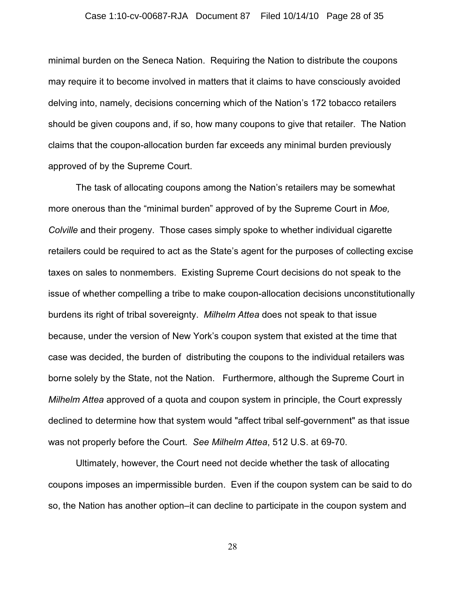#### Case 1:10-cv-00687-RJA Document 87 Filed 10/14/10 Page 28 of 35

minimal burden on the Seneca Nation. Requiring the Nation to distribute the coupons may require it to become involved in matters that it claims to have consciously avoided delving into, namely, decisions concerning which of the Nation's 172 tobacco retailers should be given coupons and, if so, how many coupons to give that retailer. The Nation claims that the coupon-allocation burden far exceeds any minimal burden previously approved of by the Supreme Court.

The task of allocating coupons among the Nation's retailers may be somewhat more onerous than the "minimal burden" approved of by the Supreme Court in *Moe, Colville* and their progeny. Those cases simply spoke to whether individual cigarette retailers could be required to act as the State's agent for the purposes of collecting excise taxes on sales to nonmembers. Existing Supreme Court decisions do not speak to the issue of whether compelling a tribe to make coupon-allocation decisions unconstitutionally burdens its right of tribal sovereignty. *Milhelm Attea* does not speak to that issue because, under the version of New York's coupon system that existed at the time that case was decided, the burden of distributing the coupons to the individual retailers was borne solely by the State, not the Nation. Furthermore, although the Supreme Court in *Milhelm Attea* approved of a quota and coupon system in principle, the Court expressly declined to determine how that system would "affect tribal self-government" as that issue was not properly before the Court. *See Milhelm Attea*, 512 U.S. at 69-70.

Ultimately, however, the Court need not decide whether the task of allocating coupons imposes an impermissible burden. Even if the coupon system can be said to do so, the Nation has another option–it can decline to participate in the coupon system and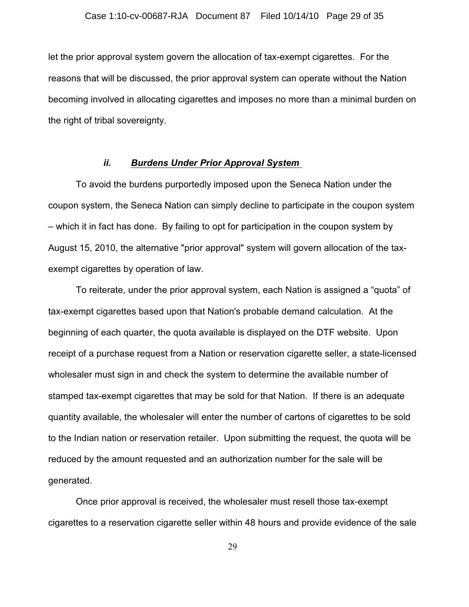let the prior approval system govern the allocation of tax-exempt cigarettes. For the reasons that will be discussed, the prior approval system can operate without the Nation becoming involved in allocating cigarettes and imposes no more than a minimal burden on the right of tribal sovereignty.

## *ii. Burdens Under Prior Approval System*

To avoid the burdens purportedly imposed upon the Seneca Nation under the coupon system, the Seneca Nation can simply decline to participate in the coupon system – which it in fact has done. By failing to opt for participation in the coupon system by August 15, 2010, the alternative "prior approval" system will govern allocation of the taxexempt cigarettes by operation of law.

To reiterate, under the prior approval system, each Nation is assigned a "quota" of tax-exempt cigarettes based upon that Nation's probable demand calculation. At the beginning of each quarter, the quota available is displayed on the DTF website. Upon receipt of a purchase request from a Nation or reservation cigarette seller, a state-licensed wholesaler must sign in and check the system to determine the available number of stamped tax-exempt cigarettes that may be sold for that Nation. If there is an adequate quantity available, the wholesaler will enter the number of cartons of cigarettes to be sold to the Indian nation or reservation retailer. Upon submitting the request, the quota will be reduced by the amount requested and an authorization number for the sale will be generated.

Once prior approval is received, the wholesaler must resell those tax-exempt cigarettes to a reservation cigarette seller within 48 hours and provide evidence of the sale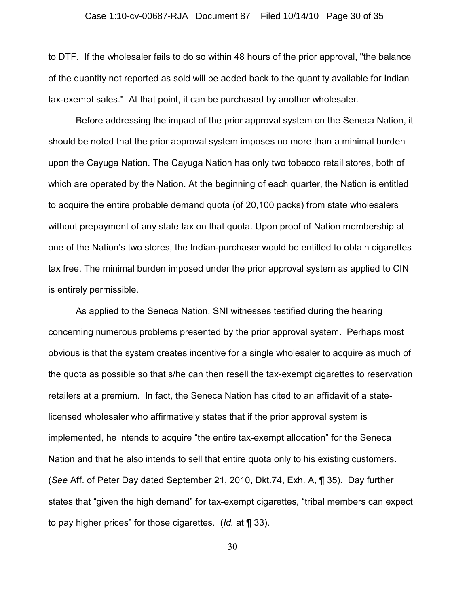to DTF. If the wholesaler fails to do so within 48 hours of the prior approval, "the balance of the quantity not reported as sold will be added back to the quantity available for Indian tax-exempt sales." At that point, it can be purchased by another wholesaler.

Before addressing the impact of the prior approval system on the Seneca Nation, it should be noted that the prior approval system imposes no more than a minimal burden upon the Cayuga Nation. The Cayuga Nation has only two tobacco retail stores, both of which are operated by the Nation. At the beginning of each quarter, the Nation is entitled to acquire the entire probable demand quota (of 20,100 packs) from state wholesalers without prepayment of any state tax on that quota. Upon proof of Nation membership at one of the Nation's two stores, the Indian-purchaser would be entitled to obtain cigarettes tax free. The minimal burden imposed under the prior approval system as applied to CIN is entirely permissible.

As applied to the Seneca Nation, SNI witnesses testified during the hearing concerning numerous problems presented by the prior approval system. Perhaps most obvious is that the system creates incentive for a single wholesaler to acquire as much of the quota as possible so that s/he can then resell the tax-exempt cigarettes to reservation retailers at a premium. In fact, the Seneca Nation has cited to an affidavit of a statelicensed wholesaler who affirmatively states that if the prior approval system is implemented, he intends to acquire "the entire tax-exempt allocation" for the Seneca Nation and that he also intends to sell that entire quota only to his existing customers. (*See* Aff. of Peter Day dated September 21, 2010, Dkt.74, Exh. A, ¶ 35). Day further states that "given the high demand" for tax-exempt cigarettes, "tribal members can expect to pay higher prices" for those cigarettes. (*Id.* at ¶ 33).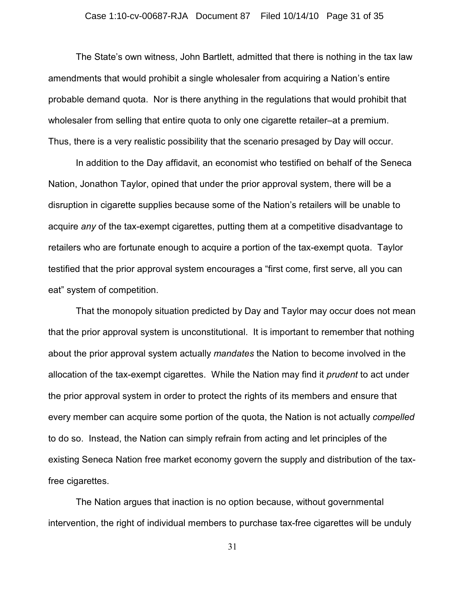### Case 1:10-cv-00687-RJA Document 87 Filed 10/14/10 Page 31 of 35

The State's own witness, John Bartlett, admitted that there is nothing in the tax law amendments that would prohibit a single wholesaler from acquiring a Nation's entire probable demand quota. Nor is there anything in the regulations that would prohibit that wholesaler from selling that entire quota to only one cigarette retailer–at a premium. Thus, there is a very realistic possibility that the scenario presaged by Day will occur.

In addition to the Day affidavit, an economist who testified on behalf of the Seneca Nation, Jonathon Taylor, opined that under the prior approval system, there will be a disruption in cigarette supplies because some of the Nation's retailers will be unable to acquire *any* of the tax-exempt cigarettes, putting them at a competitive disadvantage to retailers who are fortunate enough to acquire a portion of the tax-exempt quota. Taylor testified that the prior approval system encourages a "first come, first serve, all you can eat" system of competition.

That the monopoly situation predicted by Day and Taylor may occur does not mean that the prior approval system is unconstitutional. It is important to remember that nothing about the prior approval system actually *mandates* the Nation to become involved in the allocation of the tax-exempt cigarettes. While the Nation may find it *prudent* to act under the prior approval system in order to protect the rights of its members and ensure that every member can acquire some portion of the quota, the Nation is not actually *compelled* to do so. Instead, the Nation can simply refrain from acting and let principles of the existing Seneca Nation free market economy govern the supply and distribution of the taxfree cigarettes.

The Nation argues that inaction is no option because, without governmental intervention, the right of individual members to purchase tax-free cigarettes will be unduly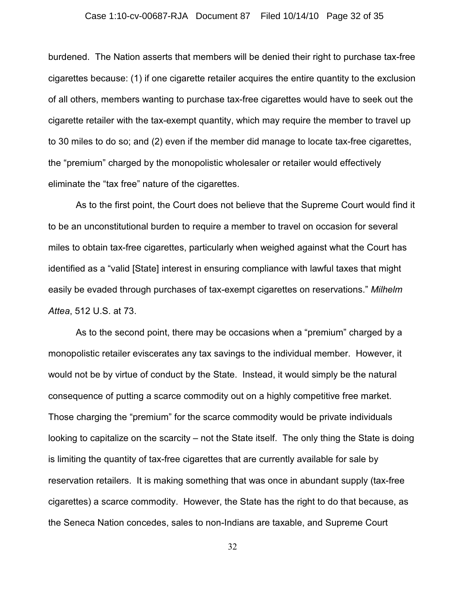## Case 1:10-cv-00687-RJA Document 87 Filed 10/14/10 Page 32 of 35

burdened. The Nation asserts that members will be denied their right to purchase tax-free cigarettes because: (1) if one cigarette retailer acquires the entire quantity to the exclusion of all others, members wanting to purchase tax-free cigarettes would have to seek out the cigarette retailer with the tax-exempt quantity, which may require the member to travel up to 30 miles to do so; and (2) even if the member did manage to locate tax-free cigarettes, the "premium" charged by the monopolistic wholesaler or retailer would effectively eliminate the "tax free" nature of the cigarettes.

As to the first point, the Court does not believe that the Supreme Court would find it to be an unconstitutional burden to require a member to travel on occasion for several miles to obtain tax-free cigarettes, particularly when weighed against what the Court has identified as a "valid [State] interest in ensuring compliance with lawful taxes that might easily be evaded through purchases of tax-exempt cigarettes on reservations." *Milhelm Attea*, 512 U.S. at 73.

As to the second point, there may be occasions when a "premium" charged by a monopolistic retailer eviscerates any tax savings to the individual member. However, it would not be by virtue of conduct by the State. Instead, it would simply be the natural consequence of putting a scarce commodity out on a highly competitive free market. Those charging the "premium" for the scarce commodity would be private individuals looking to capitalize on the scarcity – not the State itself. The only thing the State is doing is limiting the quantity of tax-free cigarettes that are currently available for sale by reservation retailers. It is making something that was once in abundant supply (tax-free cigarettes) a scarce commodity. However, the State has the right to do that because, as the Seneca Nation concedes, sales to non-Indians are taxable, and Supreme Court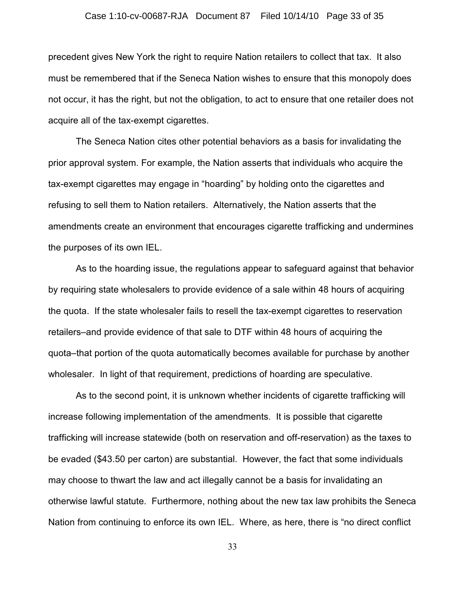#### Case 1:10-cv-00687-RJA Document 87 Filed 10/14/10 Page 33 of 35

precedent gives New York the right to require Nation retailers to collect that tax. It also must be remembered that if the Seneca Nation wishes to ensure that this monopoly does not occur, it has the right, but not the obligation, to act to ensure that one retailer does not acquire all of the tax-exempt cigarettes.

The Seneca Nation cites other potential behaviors as a basis for invalidating the prior approval system. For example, the Nation asserts that individuals who acquire the tax-exempt cigarettes may engage in "hoarding" by holding onto the cigarettes and refusing to sell them to Nation retailers. Alternatively, the Nation asserts that the amendments create an environment that encourages cigarette trafficking and undermines the purposes of its own IEL.

As to the hoarding issue, the regulations appear to safeguard against that behavior by requiring state wholesalers to provide evidence of a sale within 48 hours of acquiring the quota. If the state wholesaler fails to resell the tax-exempt cigarettes to reservation retailers–and provide evidence of that sale to DTF within 48 hours of acquiring the quota–that portion of the quota automatically becomes available for purchase by another wholesaler. In light of that requirement, predictions of hoarding are speculative.

As to the second point, it is unknown whether incidents of cigarette trafficking will increase following implementation of the amendments. It is possible that cigarette trafficking will increase statewide (both on reservation and off-reservation) as the taxes to be evaded (\$43.50 per carton) are substantial. However, the fact that some individuals may choose to thwart the law and act illegally cannot be a basis for invalidating an otherwise lawful statute. Furthermore, nothing about the new tax law prohibits the Seneca Nation from continuing to enforce its own IEL. Where, as here, there is "no direct conflict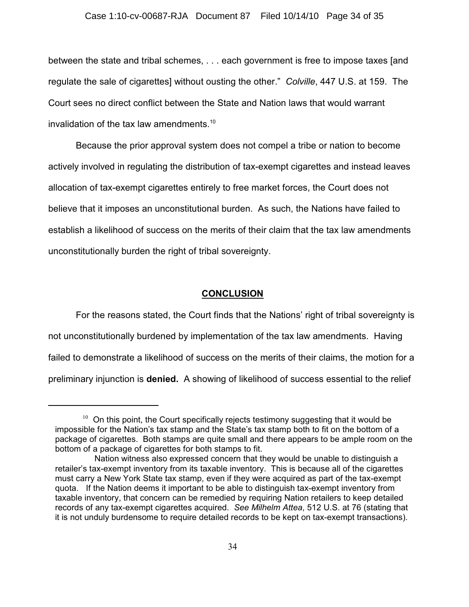### Case 1:10-cv-00687-RJA Document 87 Filed 10/14/10 Page 34 of 35

between the state and tribal schemes, . . . each government is free to impose taxes [and regulate the sale of cigarettes] without ousting the other." *Colville*, 447 U.S. at 159. The Court sees no direct conflict between the State and Nation laws that would warrant invalidation of the tax law amendments.<sup>10</sup>

Because the prior approval system does not compel a tribe or nation to become actively involved in regulating the distribution of tax-exempt cigarettes and instead leaves allocation of tax-exempt cigarettes entirely to free market forces, the Court does not believe that it imposes an unconstitutional burden. As such, the Nations have failed to establish a likelihood of success on the merits of their claim that the tax law amendments unconstitutionally burden the right of tribal sovereignty.

## **CONCLUSION**

For the reasons stated, the Court finds that the Nations' right of tribal sovereignty is not unconstitutionally burdened by implementation of the tax law amendments. Having failed to demonstrate a likelihood of success on the merits of their claims, the motion for a preliminary injunction is **denied.** A showing of likelihood of success essential to the relief

 $10$  On this point, the Court specifically rejects testimony suggesting that it would be impossible for the Nation's tax stamp and the State's tax stamp both to fit on the bottom of a package of cigarettes. Both stamps are quite small and there appears to be ample room on the bottom of a package of cigarettes for both stamps to fit.

Nation witness also expressed concern that they would be unable to distinguish a retailer's tax-exempt inventory from its taxable inventory. This is because all of the cigarettes must carry a New York State tax stamp, even if they were acquired as part of the tax-exempt quota. If the Nation deems it important to be able to distinguish tax-exempt inventory from taxable inventory, that concern can be remedied by requiring Nation retailers to keep detailed records of any tax-exempt cigarettes acquired. *See Milhelm Attea*, 512 U.S. at 76 (stating that it is not unduly burdensome to require detailed records to be kept on tax-exempt transactions).